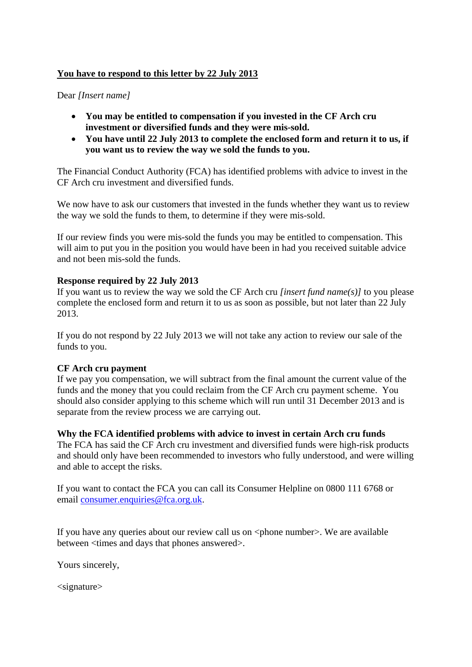### **You have to respond to this letter by 22 July 2013**

#### Dear *[Insert name]*

- **You may be entitled to compensation if you invested in the CF Arch cru investment or diversified funds and they were mis-sold.**
- **You have until 22 July 2013 to complete the enclosed form and return it to us, if you want us to review the way we sold the funds to you.**

The Financial Conduct Authority (FCA) has identified problems with advice to invest in the CF Arch cru investment and diversified funds.

We now have to ask our customers that invested in the funds whether they want us to review the way we sold the funds to them, to determine if they were mis-sold.

If our review finds you were mis-sold the funds you may be entitled to compensation. This will aim to put you in the position you would have been in had you received suitable advice and not been mis-sold the funds.

### **Response required by 22 July 2013**

If you want us to review the way we sold the CF Arch cru *[insert fund name(s)]* to you please complete the enclosed form and return it to us as soon as possible, but not later than 22 July 2013.

If you do not respond by 22 July 2013 we will not take any action to review our sale of the funds to you.

# **CF Arch cru payment**

If we pay you compensation, we will subtract from the final amount the current value of the funds and the money that you could reclaim from the CF Arch cru payment scheme. You should also consider applying to this scheme which will run until 31 December 2013 and is separate from the review process we are carrying out.

**Why the FCA identified problems with advice to invest in certain Arch cru funds** 

The FCA has said the CF Arch cru investment and diversified funds were high-risk products and should only have been recommended to investors who fully understood, and were willing and able to accept the risks.

If you want to contact the FCA you can call its Consumer Helpline on 0800 111 6768 or email consumer.enquiries@fca.org.uk.

If you have any queries about our review call us on  $\langle$  phone number $\rangle$ . We are available between <times and days that phones answered>.

Yours sincerely,

<signature>